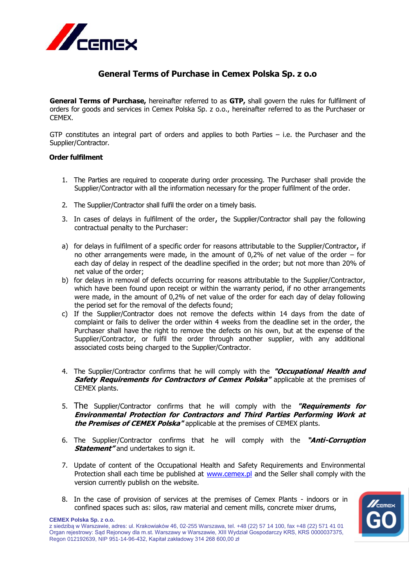

# **General Terms of Purchase in Cemex Polska Sp. z o.o**

**General Terms of Purchase,** hereinafter referred to as **GTP,** shall govern the rules for fulfilment of orders for goods and services in Cemex Polska Sp. z o.o., hereinafter referred to as the Purchaser or CEMEX.

GTP constitutes an integral part of orders and applies to both Parties  $-$  i.e. the Purchaser and the Supplier/Contractor.

### **Order fulfilment**

- 1. The Parties are required to cooperate during order processing. The Purchaser shall provide the Supplier/Contractor with all the information necessary for the proper fulfilment of the order.
- 2. The Supplier/Contractor shall fulfil the order on a timely basis.
- 3. In cases of delays in fulfilment of the order, the Supplier/Contractor shall pay the following contractual penalty to the Purchaser:
- a) for delays in fulfilment of a specific order for reasons attributable to the Supplier/Contractor, if no other arrangements were made, in the amount of 0,2% of net value of the order – for each day of delay in respect of the deadline specified in the order; but not more than 20% of net value of the order;
- b) for delays in removal of defects occurring for reasons attributable to the Supplier/Contractor, which have been found upon receipt or within the warranty period, if no other arrangements were made, in the amount of 0,2% of net value of the order for each day of delay following the period set for the removal of the defects found;
- c) If the Supplier/Contractor does not remove the defects within 14 days from the date of complaint or fails to deliver the order within 4 weeks from the deadline set in the order, the Purchaser shall have the right to remove the defects on his own, but at the expense of the Supplier/Contractor, or fulfil the order through another supplier, with any additional associated costs being charged to the Supplier/Contractor.
- 4. The Supplier/Contractor confirms that he will comply with the **"Occupational Health and Safety Requirements for Contractors of Cemex Polska"** applicable at the premises of CEMEX plants.
- 5. The Supplier/Contractor confirms that he will comply with the **"Requirements for Environmental Protection for Contractors and Third Parties Performing Work at the Premises of CEMEX Polska"** applicable at the premises of CEMEX plants.
- 6. The Supplier/Contractor confirms that he will comply with the **"Anti-Corruption Statement**" and undertakes to sign it.
- 7. Update of content of the Occupational Health and Safety Requirements and Environmental Protection shall each time be published at [www.cemex.pl](http://www.cemex.pl/) and the Seller shall comply with the version currently publish on the website.
- 8. In the case of provision of services at the premises of Cemex Plants indoors or in confined spaces such as: silos, raw material and cement mills, concrete mixer drums,



**CEMEX Polska Sp. z o.o.**

z siedzibą w Warszawie, adres: ul. Krakowiaków 46, 02-255 Warszawa, tel. +48 (22) 57 14 100, fax +48 (22) 571 41 01 Organ rejestrowy: Sąd Rejonowy dla m.st. Warszawy w Warszawie, XIII Wydział Gospodarczy KRS, KRS 0000037375, Regon 012192639, NIP 951-14-96-432, Kapitał zakładowy 314 268 600,00 zł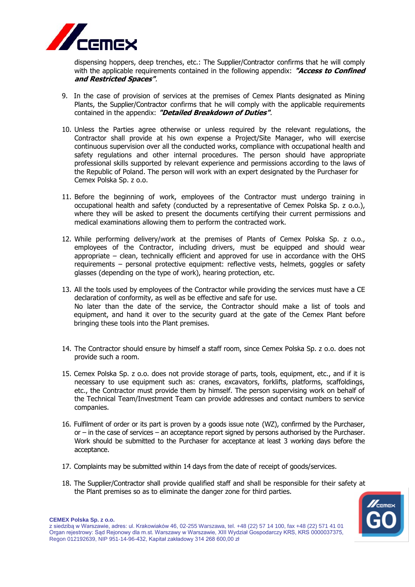

dispensing hoppers, deep trenches, etc.: The Supplier/Contractor confirms that he will comply with the applicable requirements contained in the following appendix: **"Access to Confined and Restricted Spaces"**.

- 9. In the case of provision of services at the premises of Cemex Plants designated as Mining Plants, the Supplier/Contractor confirms that he will comply with the applicable requirements contained in the appendix: **"Detailed Breakdown of Duties"**.
- 10. Unless the Parties agree otherwise or unless required by the relevant regulations, the Contractor shall provide at his own expense a Project/Site Manager, who will exercise continuous supervision over all the conducted works, compliance with occupational health and safety regulations and other internal procedures. The person should have appropriate professional skills supported by relevant experience and permissions according to the laws of the Republic of Poland. The person will work with an expert designated by the Purchaser for Cemex Polska Sp. z o.o.
- 11. Before the beginning of work, employees of the Contractor must undergo training in occupational health and safety (conducted by a representative of Cemex Polska Sp. z o.o.), where they will be asked to present the documents certifying their current permissions and medical examinations allowing them to perform the contracted work.
- 12. While performing delivery/work at the premises of Plants of Cemex Polska Sp. z o.o., employees of the Contractor, including drivers, must be equipped and should wear appropriate – clean, technically efficient and approved for use in accordance with the OHS requirements – personal protective equipment: reflective vests, helmets, goggles or safety glasses (depending on the type of work), hearing protection, etc.
- 13. All the tools used by employees of the Contractor while providing the services must have a CE declaration of conformity, as well as be effective and safe for use. No later than the date of the service, the Contractor should make a list of tools and equipment, and hand it over to the security guard at the gate of the Cemex Plant before bringing these tools into the Plant premises.
- 14. The Contractor should ensure by himself a staff room, since Cemex Polska Sp. z o.o. does not provide such a room.
- 15. Cemex Polska Sp. z o.o. does not provide storage of parts, tools, equipment, etc., and if it is necessary to use equipment such as: cranes, excavators, forklifts, platforms, scaffoldings, etc., the Contractor must provide them by himself. The person supervising work on behalf of the Technical Team/Investment Team can provide addresses and contact numbers to service companies.
- 16. Fulfilment of order or its part is proven by a goods issue note (WZ), confirmed by the Purchaser, or – in the case of services – an acceptance report signed by persons authorised by the Purchaser. Work should be submitted to the Purchaser for acceptance at least 3 working days before the acceptance.
- 17. Complaints may be submitted within 14 days from the date of receipt of goods/services.
- 18. The Supplier/Contractor shall provide qualified staff and shall be responsible for their safety at the Plant premises so as to eliminate the danger zone for third parties.

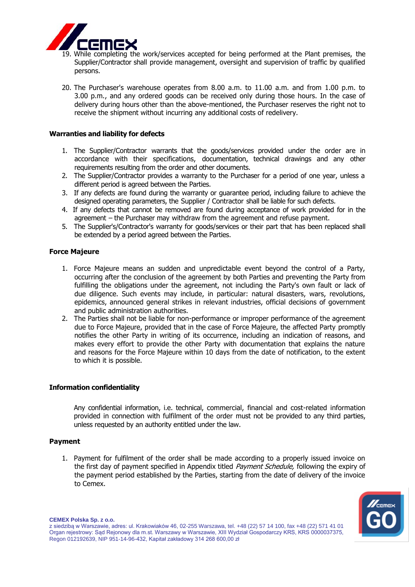

- 19. While completing the work/services accepted for being performed at the Plant premises, the Supplier/Contractor shall provide management, oversight and supervision of traffic by qualified persons.
- 20. The Purchaser's warehouse operates from 8.00 a.m. to 11.00 a.m. and from 1.00 p.m. to 3.00 p.m., and any ordered goods can be received only during those hours. In the case of delivery during hours other than the above-mentioned, the Purchaser reserves the right not to receive the shipment without incurring any additional costs of redelivery.

## **Warranties and liability for defects**

- 1. The Supplier/Contractor warrants that the goods/services provided under the order are in accordance with their specifications, documentation, technical drawings and any other requirements resulting from the order and other documents.
- 2. The Supplier/Contractor provides a warranty to the Purchaser for a period of one year, unless a different period is agreed between the Parties.
- 3. If any defects are found during the warranty or guarantee period, including failure to achieve the designed operating parameters, the Supplier / Contractor shall be liable for such defects.
- 4. If any defects that cannot be removed are found during acceptance of work provided for in the agreement – the Purchaser may withdraw from the agreement and refuse payment.
- 5. The Supplier's/Contractor's warranty for goods/services or their part that has been replaced shall be extended by a period agreed between the Parties.

### **Force Majeure**

- 1. Force Majeure means an sudden and unpredictable event beyond the control of a Party, occurring after the conclusion of the agreement by both Parties and preventing the Party from fulfilling the obligations under the agreement, not including the Party's own fault or lack of due diligence. Such events may include, in particular: natural disasters, wars, revolutions, epidemics, announced general strikes in relevant industries, official decisions of government and public administration authorities.
- 2. The Parties shall not be liable for non-performance or improper performance of the agreement due to Force Majeure, provided that in the case of Force Majeure, the affected Party promptly notifies the other Party in writing of its occurrence, including an indication of reasons, and makes every effort to provide the other Party with documentation that explains the nature and reasons for the Force Majeure within 10 days from the date of notification, to the extent to which it is possible.

#### **Information confidentiality**

Any confidential information, i.e. technical, commercial, financial and cost-related information provided in connection with fulfilment of the order must not be provided to any third parties, unless requested by an authority entitled under the law.

#### **Payment**

1. Payment for fulfilment of the order shall be made according to a properly issued invoice on the first day of payment specified in Appendix titled *Payment Schedule*, following the expiry of the payment period established by the Parties, starting from the date of delivery of the invoice to Cemex.



z siedzibą w Warszawie, adres: ul. Krakowiaków 46, 02-255 Warszawa, tel. +48 (22) 57 14 100, fax +48 (22) 571 41 01 Organ rejestrowy: Sąd Rejonowy dla m.st. Warszawy w Warszawie, XIII Wydział Gospodarczy KRS, KRS 0000037375, Regon 012192639, NIP 951-14-96-432, Kapitał zakładowy 314 268 600,00 zł